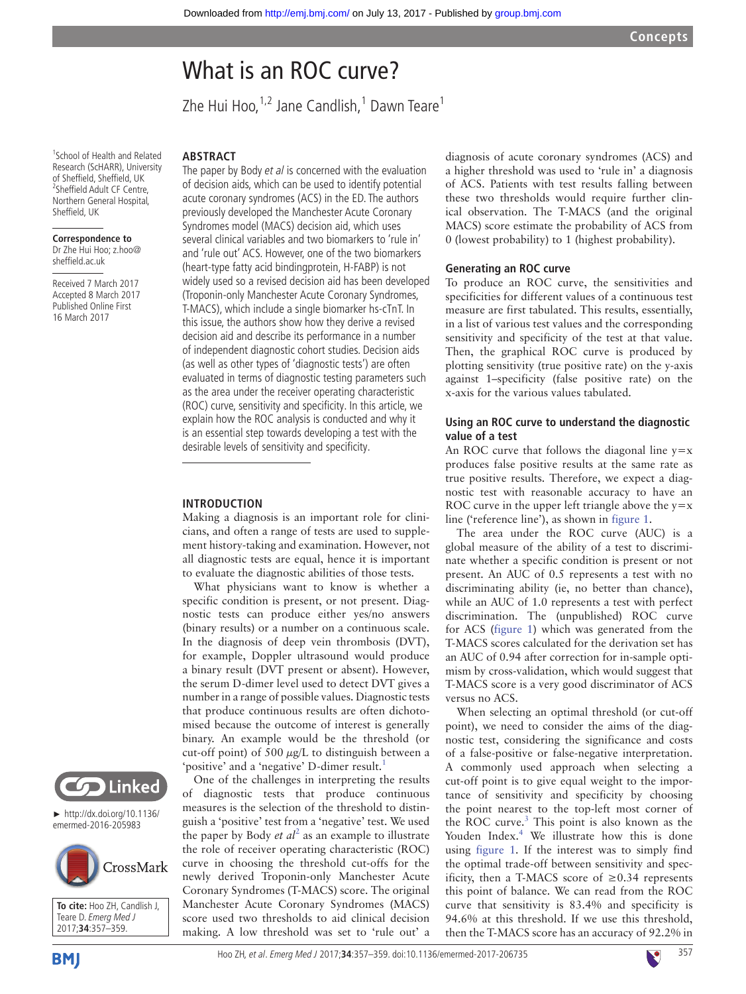# What is an ROC curve?

Zhe Hui Hoo,<sup>1,2</sup> Jane Candlish,<sup>1</sup> Dawn Teare<sup>1</sup>

1 School of Health and Related Research (ScHARR), University of Sheffield, Sheffield, UK <sup>2</sup>Sheffield Adult CF Centre, Northern General Hospital, Sheffield, UK

#### **Correspondence to** Dr Zhe Hui Hoo; z.hoo@ sheffield.ac.uk

Received 7 March 2017 Accepted 8 March 2017 Published Online First 16 March 2017

# **Abstract**

The paper by Body et al is concerned with the evaluation of decision aids, which can be used to identify potential acute coronary syndromes (ACS) in the ED. The authors previously developed the Manchester Acute Coronary Syndromes model (MACS) decision aid, which uses several clinical variables and two biomarkers to 'rule in' and 'rule out' ACS. However, one of the two biomarkers (heart-type fatty acid bindingprotein, H-FABP) is not widely used so a revised decision aid has been developed (Troponin-only Manchester Acute Coronary Syndromes, T-MACS), which include a single biomarker hs-cTnT. In this issue, the authors show how they derive a revised decision aid and describe its performance in a number of independent diagnostic cohort studies. Decision aids (as well as other types of 'diagnostic tests') are often evaluated in terms of diagnostic testing parameters such as the area under the receiver operating characteristic (ROC) curve, sensitivity and specificity. In this article, we explain how the ROC analysis is conducted and why it is an essential step towards developing a test with the desirable levels of sensitivity and specificity.

### **Introduction**

Making a diagnosis is an important role for clinicians, and often a range of tests are used to supplement history-taking and examination. However, not all diagnostic tests are equal, hence it is important to evaluate the diagnostic abilities of those tests.

What physicians want to know is whether a specific condition is present, or not present. Diagnostic tests can produce either yes/no answers (binary results) or a number on a continuous scale. In the diagnosis of deep vein thrombosis (DVT), for example, Doppler ultrasound would produce a binary result (DVT present or absent). However, the serum D-dimer level used to detect DVT gives a number in a range of possible values. Diagnostic tests that produce continuous results are often dichotomised because the outcome of interest is generally binary. An example would be the threshold (or cut-off point) of 500  $\mu$ g/L to distinguish between a 'positive' and a 'negative' D-dimer result.<sup>1</sup>

One of the challenges in interpreting the results of diagnostic tests that produce continuous measures is the selection of the threshold to distinguish a 'positive' test from a 'negative' test. We used the paper by Body  $et$   $al^2$  $al^2$  as an example to illustrate the role of receiver operating characteristic (ROC) curve in choosing the threshold cut-offs for the newly derived Troponin-only Manchester Acute Coronary Syndromes (T-MACS) score. The original Manchester Acute Coronary Syndromes (MACS) score used two thresholds to aid clinical decision making. A low threshold was set to 'rule out' a

diagnosis of acute coronary syndromes (ACS) and a higher threshold was used to 'rule in' a diagnosis of ACS. Patients with test results falling between these two thresholds would require further clinical observation. The T-MACS (and the original MACS) score estimate the probability of ACS from 0 (lowest probability) to 1 (highest probability).

#### **Generating an ROC curve**

To produce an ROC curve, the sensitivities and specificities for different values of a continuous test measure are first tabulated. This results, essentially, in a list of various test values and the corresponding sensitivity and specificity of the test at that value. Then, the graphical ROC curve is produced by plotting sensitivity (true positive rate) on the y-axis against 1–specificity (false positive rate) on the x-axis for the various values tabulated.

#### **Using an ROC curve to understand the diagnostic value of a test**

An ROC curve that follows the diagonal line  $y=x$ produces false positive results at the same rate as true positive results. Therefore, we expect a diagnostic test with reasonable accuracy to have an ROC curve in the upper left triangle above the  $y=x$ line ('reference line'), as shown in [figure](#page-1-0) 1.

The area under the ROC curve (AUC) is a global measure of the ability of a test to discriminate whether a specific condition is present or not present. An AUC of 0.5 represents a test with no discriminating ability (ie, no better than chance), while an AUC of 1.0 represents a test with perfect discrimination. The (unpublished) ROC curve for ACS ([figure](#page-1-0) 1) which was generated from the T-MACS scores calculated for the derivation set has an AUC of 0.94 after correction for in-sample optimism by cross-validation, which would suggest that T-MACS score is a very good discriminator of ACS versus no ACS.

When selecting an optimal threshold (or cut-off point), we need to consider the aims of the diagnostic test, considering the significance and costs of a false-positive or false-negative interpretation. A commonly used approach when selecting a cut-off point is to give equal weight to the importance of sensitivity and specificity by choosing the point nearest to the top-left most corner of the ROC curve.<sup>[3](#page-2-2)</sup> This point is also known as the Youden Index.<sup>[4](#page-2-3)</sup> We illustrate how this is done using [figure](#page-1-0) 1. If the interest was to simply find the optimal trade-off between sensitivity and specificity, then a T-MACS score of  $\geq 0.34$  represents this point of balance. We can read from the ROC curve that sensitivity is 83.4% and specificity is 94.6% at this threshold. If we use this threshold, then the T-MACS score has an accuracy of 92.2% in



► [http://dx.doi.org/10.1136/](http://dx.doi.org/10.1136/emermed-2016-205983) [emermed-2016-205983](http://dx.doi.org/10.1136/emermed-2016-205983)



**To cite:** Hoo ZH, Candlish J, Teare D. Emerg Med J 2017;**34**:357–359.

**BMI** 

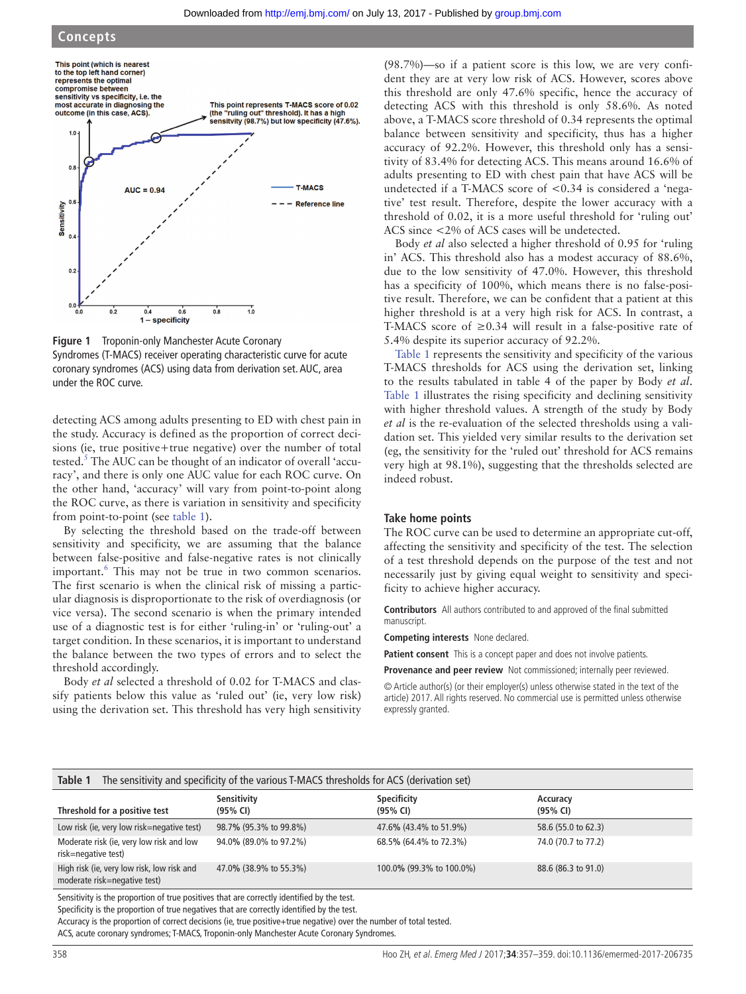## **Concepts**



<span id="page-1-0"></span>**Figure 1** Troponin-only Manchester Acute Coronary Syndromes (T-MACS) receiver operating characteristic curve for acute coronary syndromes (ACS) using data from derivation set. AUC, area under the ROC curve.

detecting ACS among adults presenting to ED with chest pain in the study. Accuracy is defined as the proportion of correct decisions (ie, true positive+true negative) over the number of total tested.<sup>[5](#page-2-4)</sup> The AUC can be thought of an indicator of overall 'accuracy', and there is only one AUC value for each ROC curve. On the other hand, 'accuracy' will vary from point-to-point along the ROC curve, as there is variation in sensitivity and specificity from point-to-point (see [table](#page-1-1) 1).

By selecting the threshold based on the trade-off between sensitivity and specificity, we are assuming that the balance between false-positive and false-negative rates is not clinically important.<sup>[6](#page-2-5)</sup> This may not be true in two common scenarios. The first scenario is when the clinical risk of missing a particular diagnosis is disproportionate to the risk of overdiagnosis (or vice versa). The second scenario is when the primary intended use of a diagnostic test is for either 'ruling-in' or 'ruling-out' a target condition. In these scenarios, it is important to understand the balance between the two types of errors and to select the threshold accordingly.

Body *et al* selected a threshold of 0.02 for T-MACS and classify patients below this value as 'ruled out' (ie, very low risk) using the derivation set. This threshold has very high sensitivity

(98.7%)—so if a patient score is this low, we are very confident they are at very low risk of ACS. However, scores above this threshold are only 47.6% specific, hence the accuracy of detecting ACS with this threshold is only 58.6%. As noted above, a T-MACS score threshold of 0.34 represents the optimal balance between sensitivity and specificity, thus has a higher accuracy of 92.2%. However, this threshold only has a sensitivity of 83.4% for detecting ACS. This means around 16.6% of adults presenting to ED with chest pain that have ACS will be undetected if a T-MACS score of <0.34 is considered a 'negative' test result. Therefore, despite the lower accuracy with a threshold of 0.02, it is a more useful threshold for 'ruling out' ACS since <2% of ACS cases will be undetected.

Body *et al* also selected a higher threshold of 0.95 for 'ruling in' ACS. This threshold also has a modest accuracy of 88.6%, due to the low sensitivity of 47.0%. However, this threshold has a specificity of 100%, which means there is no false-positive result. Therefore, we can be confident that a patient at this higher threshold is at a very high risk for ACS. In contrast, a T-MACS score of  $\geq 0.34$  will result in a false-positive rate of 5.4% despite its superior accuracy of 92.2%.

[Table](#page-1-1) 1 represents the sensitivity and specificity of the various T-MACS thresholds for ACS using the derivation set, linking to the results tabulated in table 4 of the paper by Body *et al*. [Table](#page-1-1) 1 illustrates the rising specificity and declining sensitivity with higher threshold values. A strength of the study by Body *et al* is the re-evaluation of the selected thresholds using a validation set. This yielded very similar results to the derivation set (eg, the sensitivity for the 'ruled out' threshold for ACS remains very high at 98.1%), suggesting that the thresholds selected are indeed robust.

#### **Take home points**

The ROC curve can be used to determine an appropriate cut-off, affecting the sensitivity and specificity of the test. The selection of a test threshold depends on the purpose of the test and not necessarily just by giving equal weight to sensitivity and specificity to achieve higher accuracy.

**Contributors** All authors contributed to and approved of the final submitted manuscript.

**Competing interests** None declared.

Patient consent This is a concept paper and does not involve patients.

**Provenance and peer review** Not commissioned; internally peer reviewed.

© Article author(s) (or their employer(s) unless otherwise stated in the text of the article) 2017. All rights reserved. No commercial use is permitted unless otherwise expressly granted.

<span id="page-1-1"></span>

| The sensitivity and specificity of the various T-MACS thresholds for ACS (derivation set)<br>Table 1 |                         |                          |                      |  |
|------------------------------------------------------------------------------------------------------|-------------------------|--------------------------|----------------------|--|
| Threshold for a positive test                                                                        | Sensitivity<br>(95% CI) | Specificity<br>(95% CI)  | Accuracy<br>(95% CI) |  |
| Low risk (ie, very low risk=negative test)                                                           | 98.7% (95.3% to 99.8%)  | 47.6% (43.4% to 51.9%)   | 58.6 (55.0 to 62.3)  |  |
| Moderate risk (ie, very low risk and low<br>risk=negative test)                                      | 94.0% (89.0% to 97.2%)  | 68.5% (64.4% to 72.3%)   | 74.0 (70.7 to 77.2)  |  |
| High risk (ie, very low risk, low risk and<br>moderate risk=negative test)                           | 47.0% (38.9% to 55.3%)  | 100.0% (99.3% to 100.0%) | 88.6 (86.3 to 91.0)  |  |

Sensitivity is the proportion of true positives that are correctly identified by the test.

Specificity is the proportion of true negatives that are correctly identified by the test.

Accuracy is the proportion of correct decisions (ie, true positive+true negative) over the number of total tested.

ACS, acute coronary syndromes; T-MACS, Troponin-only Manchester Acute Coronary Syndromes.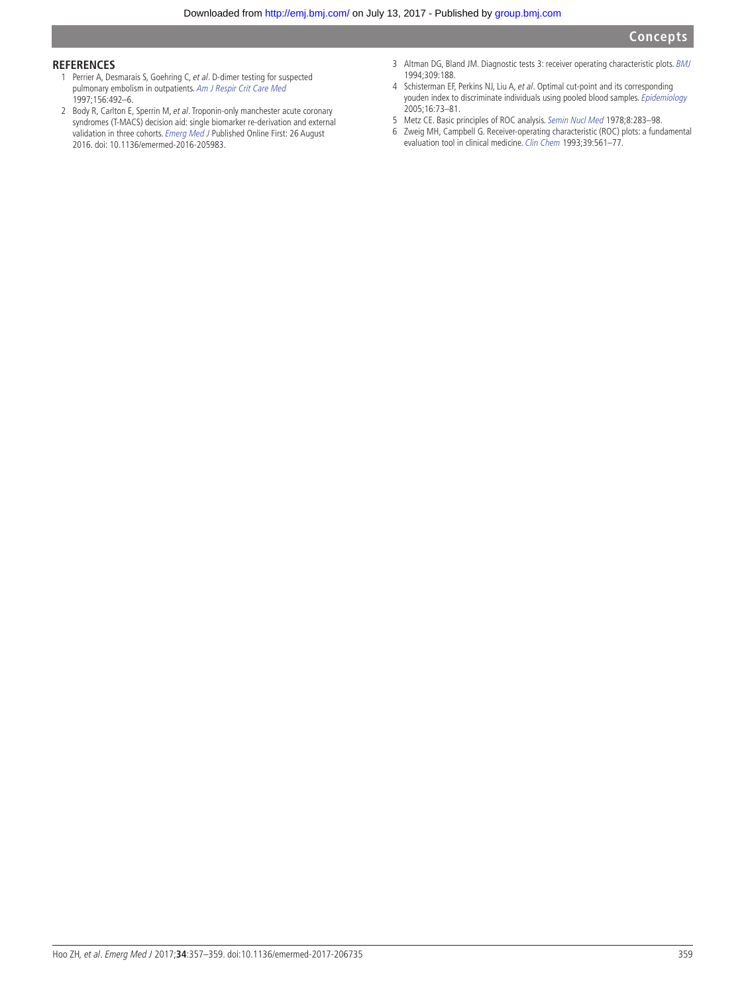### **References**

- <span id="page-2-0"></span>1 Perrier A, Desmarais S, Goehring C, et al. D-dimer testing for suspected pulmonary embolism in outpatients. [Am J Respir Crit Care Med](http://dx.doi.org/10.1164/ajrccm.156.2.9702032) 1997;156:492–6.
- <span id="page-2-1"></span>2 Body R, Carlton E, Sperrin M, et al. Troponin-only manchester acute coronary syndromes (T-MACS) decision aid: single biomarker re-derivation and external validation in three cohorts. [Emerg Med J](http://dx.doi.org/10.1136/emermed-2016-205983) Published Online First: 26 August 2016. doi: 10.1136/emermed-2016-205983.
- <span id="page-2-2"></span>3 Altman DG, Bland JM. Diagnostic tests 3: receiver operating characteristic plots. [BMJ](http://dx.doi.org/10.1136/bmj.309.6948.188) 1994;309:188.
- <span id="page-2-3"></span>4 Schisterman EF, Perkins NJ, Liu A, et al. Optimal cut-point and its corresponding youden index to discriminate individuals using pooled blood samples. [Epidemiology](http://dx.doi.org/10.1097/01.ede.0000147512.81966.ba) 2005;16:73–81.
- <span id="page-2-4"></span>5 Metz CE. Basic principles of ROC analysis. [Semin Nucl Med](http://dx.doi.org/10.1016/S0001-2998(78)80014-2) 1978;8:283–98.
- <span id="page-2-5"></span>6 Zweig MH, Campbell G. Receiver-operating characteristic (ROC) plots: a fundamental evaluation tool in clinical medicine. Clin Chem 1993;39:561-77.